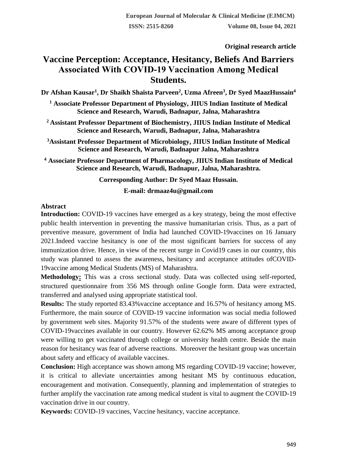**Original research article** 

# **Vaccine Perception: Acceptance, Hesitancy, Beliefs And Barriers Associated With COVID‐19 Vaccination Among Medical Students.**

**Dr Afshan Kausar<sup>1</sup> , Dr Shaikh Shaista Parveen<sup>2</sup> , Uzma Afreen<sup>3</sup> , Dr Syed MaazHussain<sup>4</sup>**

**<sup>1</sup> Associate Professor Department of Physiology, JIIUS Indian Institute of Medical Science and Research, Warudi, Badnapur, Jalna, Maharashtra**

**<sup>2</sup>Assistant Professor Department of Biochemistry, JIIUS Indian Institute of Medical Science and Research, Warudi, Badnapur, Jalna, Maharashtra**

**<sup>3</sup>Assistant Professor Department of Microbiology, JIIUS Indian Institute of Medical Science and Research, Warudi, Badnapur Jalna, Maharashtra**

**<sup>4</sup> Associate Professor Department of Pharmacology, JIIUS Indian Institute of Medical Science and Research, Warudi, Badnapur, Jalna, Maharashtra.**

**Corresponding Author: Dr Syed Maaz Hussain.**

**E-mail: drmaaz4u@gmail.com**

#### **Abstract**

**Introduction:** COVID-19 vaccines have emerged as a key strategy, being the most effective public health intervention in preventing the massive humanitarian crisis. Thus, as a part of preventive measure, government of India had launched COVID-19vaccines on 16 January 2021.Indeed vaccine hesitancy is one of the most significant barriers for success of any immunization drive. Hence, in view of the recent surge in Covid19 cases in our country, this study was planned to assess the awareness, hesitancy and acceptance attitudes ofCOVID-19vaccine among Medical Students (MS) of Maharashtra.

**Methodology:** This was a cross sectional study. Data was collected using self-reported, structured questionnaire from 356 MS through online Google form. Data were extracted, transferred and analysed using appropriate statistical tool.

**Results:** The study reported 83.43%vaccine acceptance and 16.57% of hesitancy among MS. Furthermore, the main source of COVID-19 vaccine information was social media followed by government web sites. Majority 91.57% of the students were aware of different types of COVID-19vaccines available in our country. However 62.62% MS among acceptance group were willing to get vaccinated through college or university health centre. Beside the main reason for hesitancy was fear of adverse reactions. Moreover the hesitant group was uncertain about safety and efficacy of available vaccines.

**Conclusion:** High acceptance was shown among MS regarding COVID-19 vaccine; however, it is critical to alleviate uncertainties among hesitant MS by continuous education, encouragement and motivation. Consequently, planning and implementation of strategies to further amplify the vaccination rate among medical student is vital to augment the COVID-19 vaccination drive in our country.

**Keywords:** COVID-19 vaccines, Vaccine hesitancy, vaccine acceptance.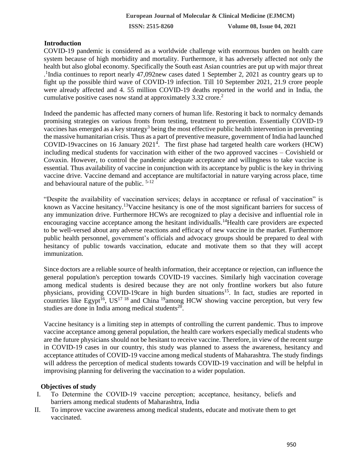## **Introduction**

COVID-19 pandemic is considered as a worldwide challenge with enormous burden on health care system because of high morbidity and mortality. Furthermore, it has adversely affected not only the health but also global economy. Specifically the South east Asian countries are put up with major threat . 1 India continues to report nearly 47,092new cases dated 1 September 2, 2021 as country gears up to fight up the possible third wave of COVID-19 infection. Till 10 September 2021, 21.9 crore people were already affected and 4. 55 million COVID-19 deaths reported in the world and in India, the cumulative positive cases now stand at approximately  $3.32$  crore.<sup>2</sup>

Indeed the pandemic has affected many corners of human life. Restoring it back to normalcy demands promising strategies on various fronts from testing, treatment to prevention. Essentially COVID-19 vaccines has emerged as a key strategy<sup>3</sup> being the most effective public health intervention in preventing the massive humanitarian crisis. Thus as a part of preventive measure, government of India had launched COVID-19 vaccines on 16 January  $2021<sup>4</sup>$ . The first phase had targeted health care workers (HCW) including medical students for vaccination with either of the two approved vaccines – Covishield or Covaxin. However, to control the pandemic adequate acceptance and willingness to take vaccine is essential. Thus availability of vaccine in conjunction with its acceptance by public is the key in thriving vaccine drive. Vaccine demand and acceptance are multifactorial in nature varying across place, time and behavioural nature of the public. 5-12

"Despite the availability of vaccination services; delays in acceptance or refusal of vaccination" is known as Vaccine hesitancy.<sup>13</sup>Vaccine hesitancy is one of the most significant barriers for success of any immunization drive. Furthermore HCWs are recognized to play a decisive and influential role in encouraging vaccine acceptance among the hesitant individualls.<sup>14</sup>Health care providers are expected to be well-versed about any adverse reactions and efficacy of new vaccine in the market. Furthermore public health personnel, government's officials and advocacy groups should be prepared to deal with hesitancy of public towards vaccination, educate and motivate them so that they will accept immunization.

Since doctors are a reliable source of health information, their acceptance or rejection, can influence the general population's perception towards COVID-19 vaccines. Similarly high vaccination coverage among medical students is desired because they are not only frontline workers but also future physicians, providing COVID-19care in high burden situations<sup>15</sup>. In fact, studies are reported in countries like Egypt<sup>16</sup>, US<sup>17 18</sup> and China <sup>19</sup>among HCW showing vaccine perception, but very few studies are done in India among medical students<sup>20</sup>.

Vaccine hesitancy is a limiting step in attempts of controlling the current pandemic. Thus to improve vaccine acceptance among general population, the health care workers especially medical students who are the future physicians should not be hesitant to receive vaccine. Therefore, in view of the recent surge in COVID-19 cases in our country, this study was planned to assess the awareness, hesitancy and acceptance attitudes of COVID-19 vaccine among medical students of Maharashtra. The study findings will address the perception of medical students towards COVID-19 vaccination and will be helpful in improvising planning for delivering the vaccination to a wider population.

#### **Objectives of study**

- I. To Determine the COVID‐19 vaccine perception; acceptance, hesitancy, beliefs and barriers among medical students of Maharashtra, India
- II. To improve vaccine awareness among medical students, educate and motivate them to get vaccinated.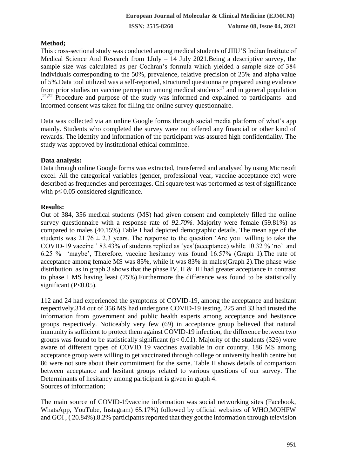# **Method;**

This cross-sectional study was conducted among medical students of JIIU'S Indian Institute of Medical Science And Research from 1July – 14 July 2021.Being a descriptive survey, the sample size was calculated as per Cochran's formula which yielded a sample size of 384 individuals corresponding to the 50%, prevalence, relative precision of 25% and alpha value of 5%.Data tool utilized was a self-reported, structured questionnaire prepared using evidence from prior studies on vaccine perception among medical students<sup>17</sup> and in general population . 21,22 Procedure and purpose of the study was informed and explained to participants and informed consent was taken for filling the online survey questionnaire.

Data was collected via an online Google forms through social media platform of what's app mainly. Students who completed the survey were not offered any financial or other kind of rewards. The identity and information of the participant was assured high confidentiality. The study was approved by institutional ethical committee.

## **Data analysis:**

Data through online Google forms was extracted, transferred and analysed by using Microsoft excel. All the categorical variables (gender, professional year, vaccine acceptance etc) were described as frequencies and percentages. Chi square test was performed as test of significance with  $p \leq 0.05$  considered significance.

# **Results:**

Out of 384, 356 medical students (MS) had given consent and completely filled the online survey questionnaire with a response rate of *92.70%.* Majority were female (59.81%) as compared to males (40.15%).Table I had depicted demographic details. The mean age of the students was  $21.76 \pm 2.3$  years. The response to the question 'Are you willing to take the COVID-19 vaccine ' 83.43% of students replied as 'yes'(acceptance) while 10.32 % 'no' and 6.25 % 'maybe', Therefore, vaccine hesitancy was found 16.57% (Graph 1).The rate of acceptance among female MS was 85%, while it was 83% in males(Graph 2).The phase wise distribution as in graph 3 shows that the phase IV. II  $\&$  III had greater acceptance in contrast to phase I MS having least (75%).Furthermore the difference was found to be statistically significant  $(P<0.05)$ .

112 and 24 had experienced the symptoms of COVID-19, among the acceptance and hesitant respectively.314 out of 356 MS had undergone COVID-19 testing. 225 and 33 had trusted the information from government and public health experts among acceptance and hesitance groups respectively. Noticeably very few (69) in acceptance group believed that natural immunity is sufficient to protect them against COVID-19 infection, the difference between two groups was found to be statistically significant ( $p < 0.01$ ). Majority of the students (326) were aware of different types of COVID 19 vaccines available in our country. 186 MS among acceptance group were willing to get vaccinated through college or university health centre but 86 were not sure about their commitment for the same. Table II shows details of comparison between acceptance and hesitant groups related to various questions of our survey. The Determinants of hesitancy among participant is given in graph 4. Sources of information;

The main source of COVID-19vaccine information was social networking sites (Facebook, WhatsApp, YouTube, Instagram) 65.17%) followed by official websites of WHO,MOHFW and GOI , ( 20.84%).8.2% participants reported that they got the information through television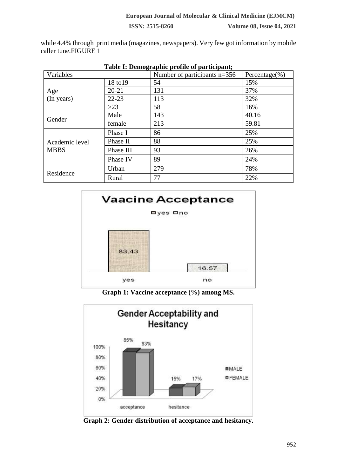while 4.4% through print media (magazines, newspapers). Very few got information by mobile caller tune.FIGURE 1

| Table 1. Deningraphic profile of participant, |           |                                |                    |  |  |  |
|-----------------------------------------------|-----------|--------------------------------|--------------------|--|--|--|
| Variables                                     |           | Number of participants $n=356$ | Percentage $(\% )$ |  |  |  |
|                                               | 18 to 19  | 54                             | 15%                |  |  |  |
| Age<br>(In years)                             | $20 - 21$ | 131                            | 37%                |  |  |  |
|                                               | $22 - 23$ | 113                            | 32%                |  |  |  |
|                                               | $>23$     | 58                             | 16%                |  |  |  |
| Gender                                        | Male      | 143                            | 40.16              |  |  |  |
|                                               | female    | 213                            | 59.81              |  |  |  |
| Academic level<br><b>MBBS</b>                 | Phase I   | 86                             | 25%                |  |  |  |
|                                               | Phase II  | 88                             | 25%                |  |  |  |
|                                               | Phase III | 93                             | 26%                |  |  |  |
|                                               | Phase IV  | 89                             | 24%                |  |  |  |
| Residence                                     | Urban     | 279                            | 78%                |  |  |  |
|                                               | Rural     | 77                             | 22%                |  |  |  |

| Table I: Demographic profile of participant; |  |  |  |
|----------------------------------------------|--|--|--|
|                                              |  |  |  |



**Graph 1: Vaccine acceptance (%) among MS.**



**Graph 2: Gender distribution of acceptance and hesitancy.**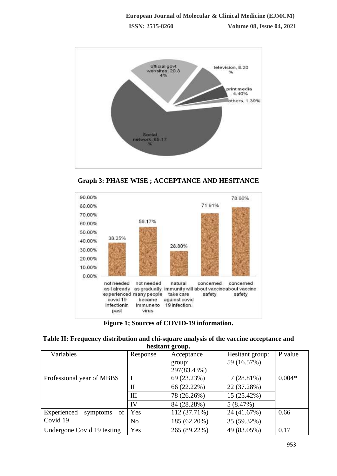

**Graph 3: PHASE WISE ; ACCEPTANCE AND HESITANCE**



**Figure 1; Sources of COVID-19 information.**

**Table II: Frequency distribution and chi-square analysis of the vaccine acceptance and hesitant group.**

| Variables                  | Response       | Acceptance   | Hesitant group: | P value  |
|----------------------------|----------------|--------------|-----------------|----------|
|                            |                | group:       | 59 (16.57%)     |          |
|                            |                | 297(83.43%)  |                 |          |
| Professional year of MBBS  |                | 69 (23.23%)  | $17(28.81\%)$   | $0.004*$ |
|                            | $\mathbf{I}$   | 66 (22.22%)  | 22 (37.28%)     |          |
|                            | Ш              | 78 (26.26%)  | 15 (25.42%)     |          |
|                            | IV             | 84 (28.28%)  | 5(8.47%)        |          |
| symptoms of<br>Experienced | Yes            | 112 (37.71%) | 24 (41.67%)     | 0.66     |
| Covid 19                   | N <sub>o</sub> | 185 (62.20%) | 35 (59.32%)     |          |
| Undergone Covid 19 testing | Yes            | 265 (89.22%) | 49 (83.05%)     | 0.17     |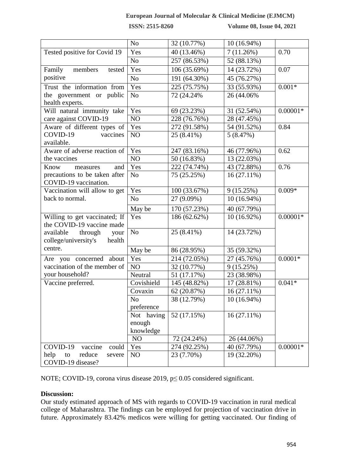#### **European Journal of Molecular & Clinical Medicine (EJMCM)**

**ISSN: 2515-8260 Volume 08, Issue 04, 2021**

|                                | N <sub>o</sub> | 32 (10.77%)  | 10 (16.94%)   |            |
|--------------------------------|----------------|--------------|---------------|------------|
| Tested positive for Covid 19   | Yes            | 40 (13.46%)  | 7(11.26%)     | 0.70       |
|                                | N <sub>o</sub> | 257 (86.53%) | 52 (88.13%)   |            |
| Family<br>members<br>tested    | Yes            | 106 (35.69%) | 14 (23.72%)   | 0.07       |
| positive                       | N <sub>o</sub> | 191 (64.30%) | 45 (76.27%)   |            |
| Trust the information from     | Yes            | 225 (75.75%) | 33 (55.93%)   | $0.001*$   |
| the government or public       | N <sub>o</sub> | 72 (24.24%)  | 26 (44.06%)   |            |
| health experts.                |                |              |               |            |
| Will natural immunity take     | Yes            | 69 (23.23%)  | 31 (52.54%)   | $0.00001*$ |
| care against COVID-19          | NO             | 228 (76.76%) | 28 (47.45%)   |            |
| Aware of different types of    | Yes            | 272 (91.58%) | 54 (91.52%)   | 0.84       |
| COVID-19<br>vaccines           | NO             | 25 (8.41%)   | 5(8.47%)      |            |
| available.                     |                |              |               |            |
| Aware of adverse reaction of   | Yes            | 247 (83.16%) | 46 (77.96%)   | 0.62       |
| the vaccines                   | NO             | 50 (16.83%)  | 13 (22.03%)   |            |
| Know<br>measures<br>and        | Yes            | 222 (74.74%) | 43 (72.88%)   | 0.76       |
| precautions to be taken after  | N <sub>o</sub> | 75 (25.25%)  | $16(27.11\%)$ |            |
| COVID-19 vaccination.          |                |              |               |            |
| Vaccination will allow to get  | Yes            | 100 (33.67%) | 9(15.25%)     | $0.009*$   |
| back to normal.                | N <sub>o</sub> | 27 (9.09%)   | 10 (16.94%)   |            |
|                                | May be         | 170 (57.23%) | 40 (67.79%)   |            |
| Willing to get vaccinated; If  | Yes            | 186 (62.62%) | 10 (16.92%)   | $0.00001*$ |
| the COVID-19 vaccine made      |                |              |               |            |
| through<br>available<br>your   | N <sub>o</sub> | 25 (8.41%)   | 14 (23.72%)   |            |
| college/university's<br>health |                |              |               |            |
| centre.                        | May be         | 86 (28.95%)  | 35 (59.32%)   |            |
| Are you concerned about        | Yes            | 214 (72.05%) | 27 (45.76%)   | $0.0001*$  |
| vaccination of the member of   | NO             | 32 (10.77%)  | 9(15.25%)     |            |
| your household?                | Neutral        | 51 (17.17%)  | 23 (38.98%)   |            |
| Vaccine preferred.             | Covishield     | 145 (48.82%) | 17 (28.81%)   | $0.041*$   |
|                                | Covaxin        | 62 (20.87%)  | 16 (27.11%)   |            |
|                                | N <sub>o</sub> | 38 (12.79%)  | 10 (16.94%)   |            |
|                                | preference     |              |               |            |
|                                | Not having     | 52 (17.15%)  | $16(27.11\%)$ |            |
|                                | enough         |              |               |            |
|                                | knowledge      |              |               |            |
|                                | NO             | 72 (24.24%)  | 26 (44.06%)   |            |
| COVID-19<br>vaccine<br>could   | Yes            | 274 (92.25%) | 40 (67.79%)   | $0.00001*$ |
| help<br>reduce<br>to<br>severe | NO             | 23 (7.70%)   | 19 (32.20%)   |            |
| COVID-19 disease?              |                |              |               |            |

NOTE; COVID-19, corona virus disease 2019, p≤ 0.05 considered significant.

## **Discussion:**

Our study estimated approach of MS with regards to COVID-19 vaccination in rural medical college of Maharashtra. The findings can be employed for projection of vaccination drive in future. Approximately 83.42% medicos were willing for getting vaccinated. Our finding of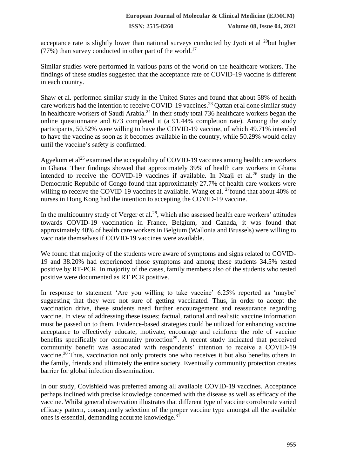**ISSN: 2515-8260 Volume 08, Issue 04, 2021**

acceptance rate is slightly lower than national surveys conducted by Jyoti et al  $^{20}$ but higher  $(77%)$  than survey conducted in other part of the world.<sup>17</sup>

Similar studies were performed in various parts of the world on the healthcare workers. The findings of these studies suggested that the acceptance rate of COVID-19 vaccine is different in each country.

Shaw et al. performed similar study in the United States and found that about 58% of health care workers had the intention to receive COVID-19 vaccines.<sup>23</sup> Qattan et al done similar study in healthcare workers of Saudi Arabia.<sup>24</sup> In their study total 736 healthcare workers began the online questionnaire and 673 completed it (a 91.44% completion rate). Among the study participants, 50.52% were willing to have the COVID-19 vaccine, of which 49.71% intended to have the vaccine as soon as it becomes available in the country, while 50.29% would delay until the vaccine's safety is confirmed.

Agyekum et al<sup>25</sup> examined the acceptability of COVID-19 vaccines among health care workers in Ghana. Their findings showed that approximately 39% of health care workers in Ghana intended to receive the COVID-19 vaccines if available. In Nzaji et al.<sup>26</sup> study in the Democratic Republic of Congo found that approximately 27.7% of health care workers were willing to receive the COVID-19 vaccines if available. Wang et al.  $^{27}$ found that about 40% of nurses in Hong Kong had the intention to accepting the COVID-19 vaccine.

In the multicountry study of Verger et al.<sup>28</sup>, which also assessed health care workers' attitudes towards COVID-19 vaccination in France, Belgium, and Canada, it was found that approximately 40% of health care workers in Belgium (Wallonia and Brussels) were willing to vaccinate themselves if COVID-19 vaccines were available.

We found that majority of the students were aware of symptoms and signs related to COVID-19 and 38.20% had experienced those symptoms and among these students 34.5% tested positive by RT-PCR. In majority of the cases, family members also of the students who tested positive were documented as RT PCR positive.

In response to statement 'Are you willing to take vaccine' 6.25% reported as 'maybe' suggesting that they were not sure of getting vaccinated. Thus, in order to accept the vaccination drive, these students need further encouragement and reassurance regarding vaccine. In view of addressing these issues; factual, rational and realistic vaccine information must be passed on to them. Evidence-based strategies could be utilized for enhancing vaccine acceptance to effectively educate, motivate, encourage and reinforce the role of vaccine benefits specifically for community protection<sup>29</sup>. A recent study indicated that perceived community benefit was associated with respondents' intention to receive a COVID-19 vaccine.<sup>30</sup> Thus, vaccination not only protects one who receives it but also benefits others in the family, friends and ultimately the entire society. Eventually community protection creates barrier for global infection dissemination.

In our study, Covishield was preferred among all available COVID-19 vaccines. Acceptance perhaps inclined with precise knowledge concerned with the disease as well as efficacy of the vaccine. Whilst general observation illustrates that different type of vaccine corroborate varied efficacy pattern, consequently selection of the proper vaccine type amongst all the available ones is essential, demanding accurate knowledge.<sup>31</sup>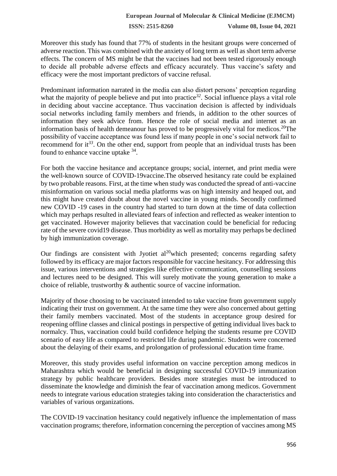**ISSN: 2515-8260 Volume 08, Issue 04, 2021**

Moreover this study has found that 77% of students in the hesitant groups were concerned of adverse reaction. This was combined with the anxiety of long term as well as short term adverse effects. The concern of MS might be that the vaccines had not been tested rigorously enough to decide all probable adverse effects and efficacy accurately. Thus vaccine's safety and efficacy were the most important predictors of vaccine refusal.

Predominant information narrated in the media can also distort persons' perception regarding what the majority of people believe and put into practice<sup>32</sup>. Social influence plays a vital role in deciding about vaccine acceptance. Thus vaccination decision is affected by individuals social networks including family members and friends, in addition to the other sources of information they seek advice from. Hence the role of social media and internet as an information basis of health demeanour has proved to be progressively vital for medicos.<sup>20</sup>The possibility of vaccine acceptance was found less if many people in one's social network fail to recommend for it*<sup>33</sup>*. On the other end, support from people that an individual trusts has been found to enhance vaccine uptake <sup>34</sup>.

For both the vaccine hesitance and acceptance groups; social, internet, and print media were the well-known source of COVID-19vaccine.The observed hesitancy rate could be explained by two probable reasons. First, at the time when study was conducted the spread of anti-vaccine misinformation on various social media platforms was on high intensity and heaped out, and this might have created doubt about the novel vaccine in young minds. Secondly confirmed new COVID -19 cases in the country had started to turn down at the time of data collection which may perhaps resulted in alleviated fears of infection and reflected as weaker intention to get vaccinated. However majority believes that vaccination could be beneficial for reducing rate of the severe covid19 disease. Thus morbidity as well as mortality may perhaps be declined by high immunization coverage.

Our findings are consistent with Jyotiet  $al^{20}$  which presented; concerns regarding safety followed by its efficacy are major factors responsible for vaccine hesitancy. For addressing this issue, various interventions and strategies like effective communication, counselling sessions and lectures need to be designed. This will surely motivate the young generation to make a choice of reliable, trustworthy & authentic source of vaccine information.

Majority of those choosing to be vaccinated intended to take vaccine from government supply indicating their trust on government. At the same time they were also concerned about getting their family members vaccinated. Most of the students in acceptance group desired for reopening offline classes and clinical postings in perspective of getting individual lives back to normalcy. Thus, vaccination could build confidence helping the students resume pre COVID scenario of easy life as compared to restricted life during pandemic. Students were concerned about the delaying of their exams, and prolongation of professional education time frame.

Moreover, this study provides useful information on vaccine perception among medicos in Maharashtra which would be beneficial in designing successful COVID-19 immunization strategy by public healthcare providers. Besides more strategies must be introduced to disseminate the knowledge and diminish the fear of vaccination among medicos. Government needs to integrate various education strategies taking into consideration the characteristics and variables of various organizations.

The COVID-19 vaccination hesitancy could negatively influence the implementation of mass vaccination programs; therefore, information concerning the perception of vaccines among MS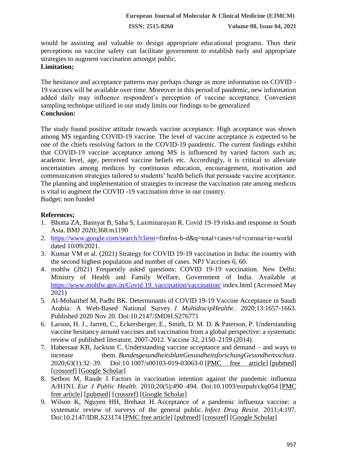**ISSN: 2515-8260 Volume 08, Issue 04, 2021**

would be assisting and valuable to design appropriate educational programs. Thus their perceptions on vaccine safety can facilitate government to establish early and appropriate strategies to augment vaccination amongst public.

# **Limitation;**

The hesitance and acceptance patterns may perhaps change as more information on COVID - 19 vaccines will be available over time. Moreover in this period of pandemic, new information added daily may influence respondent's perception of vaccine acceptance. Convenient sampling technique utilized in our study limits our findings to be generalized **Conclusion:**

The study found positive attitude towards vaccine acceptance. High acceptance was shown among MS regarding COVID-19 vaccine. The level of vaccine acceptance is expected to be one of the chiefs resolving factors in the COVID-19 pandemic. The current findings exhibit that COVID-19 vaccine acceptance among MS is influenced by varied factors such as; academic level, age, perceived vaccine beliefs etc. Accordingly, it is critical to alleviate uncertainties among medicos by continuous education, encouragement, motivation and communication strategies tailored to students' health beliefs that persuade vaccine acceptance. The planning and implementation of strategies to increase the vaccination rate among medicos is vital to augment the COVID -19 vaccination drive in our country. Budget; non funded

## **References;**

- 1. Bhutta ZA, Basnyat B, Saha S, Laxminarayan R. Covid 19‑19 risks and response in South Asia. BMJ 2020;368:m1190
- 2. [https://www.google.com/search?client=](https://www.google.com/search?client)firefox-b-d&q=total+cases+of+corona+in+world dated 10/09/2021.
- 3. Kumar VM et al. (2021) Strategy for COVID 19-19 vaccination in India: the country with the second highest population and number of cases. NPJ Vaccines 6, 60.
- 4. mohfw (2021) Frequently asked questions: COVID 19-19 vaccination. New Delhi: Ministry of Health and Family Welfare, Government of India. Available at [https://www.mohfw.gov.in/Covid 19\\_vaccination/vaccination/](https://www.mohfw.gov.in/covid_vaccination/vaccination/) index.html (Accessed May 2021)
- 5. Al-Mohaithef M, Padhi BK. Determinants of COVID 19-19 Vaccine Acceptance in Saudi Arabia: A Web-Based National Survey. *J MultidiscipHealthc*. 2020;13:1657-1663. Published 2020 Nov 20. Doi:10.2147/JMDH.S276771
- 6. Larson, H. J., Jarrett, C., Eckersberger, E., Smith, D. M. D. & Paterson, P. Understanding vaccine hesitancy around vaccines and vaccination from a global perspective: a systematic review of published literature, 2007-2012. Vaccine 32, 2150–2159 (2014).
- 7. Habersaat KB, Jackson C. Understanding vaccine acceptance and demand and ways to increase them. *BundesgesundheitsblattGesundheitsforschungGesundheitsschutz*. 2020;63(1):32–39. Doi:10.1007/s00103-019-03063-0 [\[PMC free article\]](https://www.ncbi.nlm.nih.gov/pmc/articles/PMC6925076/) [\[pubmed\]](https://www.ncbi.nlm.nih.gov/pubmed/31802154) [\[crossref\]](https://dx.doi.org/10.1007%2Fs00103-019-03063-0) [\[Google Scholar\]](https://scholar.google.com/scholar_lookup?journal=Bundesgesundheitsblatt+Gesundheitsforschung+Gesundheitsschutz&title=Understanding+vaccine+acceptance+and+demand+%E2%80%93+and+ways+to+increase+them&volume=63&issue=1&publication_year=2020&pages=32-39&pmid=31802154&doi=10.1007/s00103-019-03063-0&)
- 8. Setbon M, Raude J. Factors in vaccination intention against the pandemic influenza A/H1N1. *Eur J Public Health*. 2010;20(5):490–494. Doi:10.1093/eurpub/ckq054 [\[PMC](https://www.ncbi.nlm.nih.gov/pmc/articles/PMC7314046/)  [free article\]](https://www.ncbi.nlm.nih.gov/pmc/articles/PMC7314046/) [\[pubmed\]](https://www.ncbi.nlm.nih.gov/pubmed/20444821) [\[crossref\]](https://dx.doi.org/10.1093%2Feurpub%2Fckq054) [\[Google Scholar\]](https://scholar.google.com/scholar_lookup?journal=Eur+J+Public+Health&title=Factors+in+vaccination+intention+against+the+pandemic+influenza+A/H1N1&volume=20&issue=5&publication_year=2010&pages=490-494&pmid=20444821&doi=10.1093/eurpub/ckq054&)
- 9. Wilson K, Nguyen HH, Brehaut H. Acceptance of a pandemic influenza vaccine: a systematic review of surveys of the general public. *Infect Drug Resist*. 2011;4:197. Doi:10.2147/IDR.S23174 [\[PMC free article\]](https://www.ncbi.nlm.nih.gov/pmc/articles/PMC3215344/) [\[pubmed\]](https://www.ncbi.nlm.nih.gov/pubmed/22114512) [\[crossref\]](https://dx.doi.org/10.2147%2FIDR.S23174) [\[Google Scholar\]](https://scholar.google.com/scholar_lookup?journal=Infect+Drug+Resist&title=Acceptance+of+a+pandemic+influenza+vaccine:+a+systematic+review+of+surveys+of+the+general+public&volume=4&publication_year=2011&pages=197&pmid=22114512&doi=10.2147/IDR.S23174&)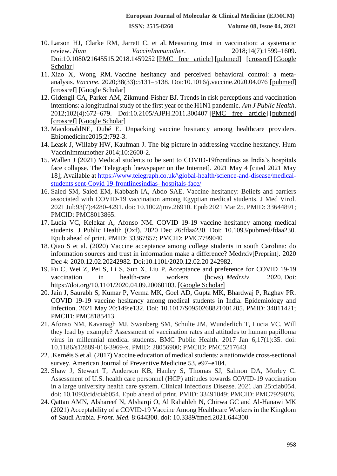- 10. Larson HJ, Clarke RM, Jarrett C, et al. Measuring trust in vaccination: a systematic review. *Hum VaccinImmunother*. 2018;14(7):1599–1609. Doi:10.1080/21645515.2018.1459252 [\[PMC free article\]](https://www.ncbi.nlm.nih.gov/pmc/articles/PMC6067893/) [\[pubmed\]](https://www.ncbi.nlm.nih.gov/pubmed/29617183) [\[crossref\]](https://dx.doi.org/10.1080%2F21645515.2018.1459252) [\[Google](https://scholar.google.com/scholar_lookup?journal=Hum+Vaccin+Immunother&title=Measuring+trust+in+vaccination:+a+systematic+review&volume=14&issue=7&publication_year=2018&pages=1599-1609&pmid=29617183&doi=10.1080/21645515.2018.1459252&)  [Scholar\]](https://scholar.google.com/scholar_lookup?journal=Hum+Vaccin+Immunother&title=Measuring+trust+in+vaccination:+a+systematic+review&volume=14&issue=7&publication_year=2018&pages=1599-1609&pmid=29617183&doi=10.1080/21645515.2018.1459252&)
- 11. Xiao X, Wong RM. Vaccine hesitancy and perceived behavioral control: a metaanalysis. *Vaccine*. 2020;38(33):5131–5138. Doi:10.1016/j.vaccine.2020.04.076 [\[pubmed\]](https://www.ncbi.nlm.nih.gov/pubmed/32409135) [\[crossref\]](https://dx.doi.org/10.1016%2Fj.vaccine.2020.04.076) [\[Google Scholar\]](https://scholar.google.com/scholar_lookup?journal=Vaccine&title=Vaccine+hesitancy+and+perceived+behavioral+control:+a+meta-analysis&volume=38&issue=33&publication_year=2020&pages=5131-5138&pmid=32409135&doi=10.1016/j.vaccine.2020.04.076&)
- 12. Gidengil CA, Parker AM, Zikmund-Fisher BJ. Trends in risk perceptions and vaccination intentions: a longitudinal study of the first year of the H1N1 pandemic. *Am J Public Health*. 2012;102(4):672–679. Doi:10.2105/AJPH.2011.300407 [\[PMC free article\]](https://www.ncbi.nlm.nih.gov/pmc/articles/PMC3297965/) [\[pubmed\]](https://www.ncbi.nlm.nih.gov/pubmed/22397349) [\[crossref\]](https://dx.doi.org/10.2105%2FAJPH.2011.300407) [\[Google Scholar\]](https://scholar.google.com/scholar_lookup?journal=Am+J+Public+Health&title=Trends+in+risk+perceptions+and+vaccination+intentions:+a+longitudinal+study+of+the+first+year+of+the+H1N1+pandemic&volume=102&issue=4&publication_year=2012&pages=672-679&pmid=22397349&doi=10.2105/AJPH.2011.300407&)
- 13. MacdonaldNE, Dubé E. Unpacking vaccine hesitancy among healthcare providers. Ebiomedicine2015;2:792‑3.
- 14. Leask J, Willaby HW, Kaufman J. The big picture in addressing vaccine hesitancy. Hum VaccinImmunother 2014;10:2600‑2.
- 15. Wallen J (2021) Medical students to be sent to COVID-19frontlines as India's hospitals face collapse. The Telegraph [newspaper on the Internet]. 2021 May 4 [cited 2021 May 18]; Available at [https://www.telegraph.co.uk/\global-health/science-and-disease/medical](https://www.telegraph.co.uk/global-health/science-and-disease/medical-students%20sent-covid-frontlinesindias-%20hospitals-face/)[students sent-Covid 19-frontlinesindias-](https://www.telegraph.co.uk/global-health/science-and-disease/medical-students%20sent-covid-frontlinesindias-%20hospitals-face/) hospitals-face/
- 16. Saied SM, Saied EM, Kabbash IA, Abdo SAE. Vaccine hesitancy: Beliefs and barriers associated with COVID-19 vaccination among Egyptian medical students. J Med Virol. 2021 Jul;93(7):4280-4291. doi: 10.1002/jmv.26910. Epub 2021 Mar 25. PMID: 33644891; PMCID: PMC8013865.
- 17. Lucia VC, Kelekar A, Afonso NM. COVID 19-19 vaccine hesitancy among medical students. J Public Health (Oxf). 2020 Dec 26:fdaa230. Doi: 10.1093/pubmed/fdaa230. Epub ahead of print. PMID: 33367857; PMCID: PMC7799040
- 18. Qiao S et al. (2020) Vaccine acceptance among college students in south Carolina: do information sources and trust in information make a difference? Medrxiv[Preprint]. 2020 Dec 4: 2020.12.02.20242982. Doi:10.1101/2020.12.02.20 242982.
- 19. Fu C, Wei Z, Pei S, Li S, Sun X, Liu P. Acceptance and preference for COVID 19-19 vaccination in health-care workers (hcws). *Medrxiv*. 2020. Doi: https://doi.org/10.1101/2020.04.09.20060103. [Google Scholar]
- 20. Jain J, Saurabh S, Kumar P, Verma MK, Goel AD, Gupta MK, Bhardwaj P, Raghav PR. COVID 19-19 vaccine hesitancy among medical students in India. Epidemiology and Infection. 2021 May 20;149:e132. Doi: 10.1017/S0950268821001205. PMID: 34011421; PMCID: PMC8185413.
- 21. Afonso NM, Kavanagh MJ, Swanberg SM, Schulte JM, Wunderlich T, Lucia VC. Will they lead by example? Assessment of vaccination rates and attitudes to human papilloma virus in millennial medical students. BMC Public Health. 2017 Jan 6;17(1):35. doi: 10.1186/s12889-016-3969-x. PMID: 28056900; PMCID: PMC5217643
- 22. .Kernéis S et al. (2017) Vaccine education of medical students: a nationwide cross-sectional survey. American Journal of Preventive Medicine 53, e97–e104.
- 23. Shaw J, Stewart T, Anderson KB, Hanley S, Thomas SJ, Salmon DA, Morley C. Assessment of U.S. health care personnel (HCP) attitudes towards COVID-19 vaccination in a large university health care system. Clinical Infectious Disease. 2021 Jan 25:ciab054. doi: 10.1093/cid/ciab054. Epub ahead of print. PMID: 33491049; PMCID: PMC7929026.
- 24. Qattan AMN, Alshareef N, Alsharqi O, Al Rahahleh N, Chirwa GC and Al-Hanawi MK (2021) Acceptability of a COVID-19 Vaccine Among Healthcare Workers in the Kingdom of Saudi Arabia. *Front. Med.* 8:644300. doi: 10.3389/fmed.2021.644300